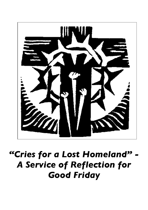

# *"Cries for a Lost Homeland" - A Service of Reflection for Good Friday*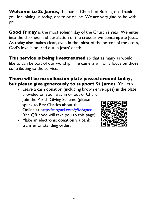**Welcome to St James,** the parish Church of Bulkington. Thank you for joining us today, onsite or online. We are very glad to be with you.

**Good Friday** is the most solemn day of the Church's year. We enter into the darkness and dereliction of the cross as we contemplate Jesus. As today also makes clear, even in the midst of the horror of the cross, God's love is poured out in Jesus' death.

**This service is being livestreamed** so that as many as would like to can be part of our worship. The camera will only focus on those contributing to the service.

### **There will be no collection plate passed around today, but please give generously to support St James.** You can

- Leave a cash donation (including brown envelopes) in the plate provided on your way in or out of Church
- Join the Parish Giving Scheme (please speak to Rev Charles about this)
- Online at https://tinyurl.com/y5o6gncq (the QR code will take you to this page)
- Make an electronic donation via bank transfer or standing order.

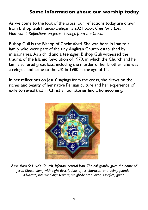## **Some information about our worship today**

As we come to the foot of the cross, our reflections today are drawn from Bishop Guli Francis-Dehqani's 2021 book *Cries for a Lost Homeland: Reflections on Jesus' Sayings from the Cross*.

Bishop Guli is the Bishop of Chelmsford. She was born in Iran to a family who were part of the tiny Anglican Church established by missionaries. As a child and a teenager, Bishop Guli witnessed the trauma of the Islamic Revolution of 1979, in which the Church and her family suffered great loss, including the murder of her brother. She was a refugee and came to the UK in 1980 at the age of 14.

In her reflections on Jesus' sayings from the cross, she draws on the riches and beauty of her native Persian culture and her experience of exile to reveal that in Christ all our stories find a homecoming.



*A tile from St Luke's Church, Isfahan, central Iran. The calligraphy gives the name of Jesus Christ, along with eight descriptions of his character and being: founder; advocate; intermediary; servant; weight-bearer; lover; sacrifice; guide.*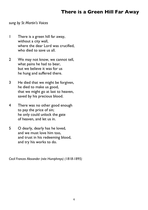## **There is a Green Hill Far Away**

*sung by St Martin's Voices*

- 1 There is a green hill far away, without a city wall, where the dear Lord was crucified, who died to save us all.
- 2 We may not know, we cannot tell, what pains he had to bear, but we believe it was for us he hung and suffered there.
- 3 He died that we might be forgiven, he died to make us good, that we might go at last to heaven, saved by his precious blood.
- 4 There was no other good enough to pay the price of sin; he only could unlock the gate of heaven, and let us in.
- 5 O dearly, dearly has he loved, and we must love him too, and trust in his redeeming blood, and try his works to do.

*Cecil Frances Alexander (née Humphreys) (1818-1895)*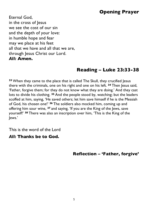# **Opening Prayer**

Eternal God, in the cross of Jesus we see the cost of our sin and the depth of your love: in humble hope and fear may we place at his feet all that we have and all that we are, through Jesus Christ our Lord. *All:* **Amen.** 

# **Reading – Luke 23:33-38**

**<sup>33</sup>** When they came to the place that is called The Skull, they crucified Jesus there with the criminals, one on his right and one on his left. **<sup>34</sup>** Then Jesus said, 'Father, forgive them; for they do not know what they are doing.' And they cast lots to divide his clothing. **<sup>35</sup>** And the people stood by, watching; but the leaders scoffed at him, saying, 'He saved others; let him save himself if he is the Messiah of God, his chosen one!' **<sup>36</sup>** The soldiers also mocked him, coming up and offering him sour wine, **<sup>37</sup>** and saying, 'If you are the King of the Jews, save yourself!' **<sup>38</sup>** There was also an inscription over him, 'This is the King of the Jews.'

This is the word of the Lord

#### *All:* **Thanks be to God.**

**Reflection – 'Father, forgive'**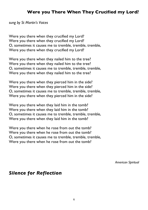*sung by St Martin's Voices*

Were you there when they crucified my Lord? Were you there when they crucified my Lord? O, sometimes it causes me to tremble, tremble, tremble, Were you there when they crucified my Lord?

Were you there when they nailed him to the tree? Were you there when they nailed him to the tree? O, sometimes it causes me to tremble, tremble, tremble, Were you there when they nailed him to the tree?

Were you there when they pierced him in the side? Were you there when they pierced him in the side? O, sometimes it causes me to tremble, tremble, tremble, Were you there when they pierced him in the side?

Were you there when they laid him in the tomb? Were you there when they laid him in the tomb? O, sometimes it causes me to tremble, tremble, tremble, Were you there when they laid him in the tomb?

Were you there when he rose from out the tomb? Were you there when he rose from out the tomb? O, sometimes it causes me to tremble, tremble, tremble, Were you there when he rose from out the tomb?

*American Spiritual*

### *Silence for Reflection*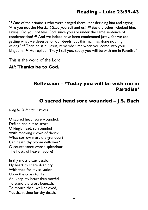# **Reading – Luke 23:39-43**

**<sup>39</sup>** One of the criminals who were hanged there kept deriding him and saying, 'Are you not the Messiah? Save yourself and us!' **<sup>40</sup>** But the other rebuked him, saying, 'Do you not fear God, since you are under the same sentence of condemnation? **<sup>41</sup>** And we indeed have been condemned justly, for we are getting what we deserve for our deeds, but this man has done nothing wrong.' **<sup>42</sup>** Then he said, 'Jesus, remember me when you come into your kingdom.' **<sup>43</sup>** He replied, 'Truly I tell you, today you will be with me in Paradise.'

This is the word of the Lord

#### *All:* **Thanks be to God.**

# **Reflection – 'Today you will be with me in Paradise'**

### **O sacred head sore wounded – J.S. Bach**

*sung by St Martin's Voices*

O sacred head, sore wounded, Defiled and put to scorn; O kingly head, surrounded With mocking crown of thorn: What sorrow mars thy grandeur? Can death thy bloom deflower? O countenance whose splendour The hosts of heaven adore!

In thy most bitter passion My heart to share doth cry, With thee for my salvation Upon the cross to die. Ah, keep my heart thus movèd To stand thy cross beneath, To mourn thee, well-belovèd, Yet thank thee for thy death.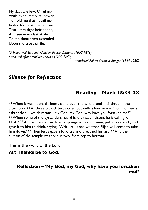My days are few, O fail not, With thine immortal power, To hold me that I quail not In death's most fearful hour: That I may fight befriended, And see in my last strife To me thine arms extended Upon the cross of life.

*'O Haupt voll Blut und Wunden' Paulus Gerhardt (1607-1676) attributed after Arnuf von Loewen (1200-1250)* 

*translated Robert Seymour Bridges (1844-1930)*

## *Silence for Reflection*

## **Reading – Mark 15:33-38**

**<sup>33</sup>** When it was noon, darkness came over the whole land until three in the afternoon. **<sup>34</sup>** At three o'clock Jesus cried out with a loud voice, 'Eloi, Eloi, lema sabachthani?' which means, 'My God, my God, why have you forsaken me?" **<sup>35</sup>** When some of the bystanders heard it, they said, 'Listen, he is calling for Elijah.' **<sup>36</sup>** And someone ran, filled a sponge with sour wine, put it on a stick, and gave it to him to drink, saying, 'Wait, let us see whether Elijah will come to take him down.' **<sup>37</sup>** Then Jesus gave a loud cry and breathed his last. **<sup>38</sup>** And the curtain of the temple was torn in two, from top to bottom.

This is the word of the Lord

#### *All:* **Thanks be to God.**

**Reflection – 'My God, my God, why have you forsaken me?'**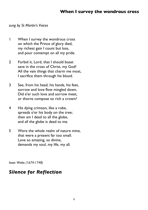#### **When I survey the wondrous cross**

#### *sung by St Martin's Voices*

- 1 When I survey the wondrous cross on which the Prince of glory died, my richest gain I count but loss, and pour contempt on all my pride.
- 2 Forbid it, Lord, that I should boast save in the cross of Christ, my God! All the vain things that charm me most, I sacrifice them through his blood.
- 3 See, from his head, his hands, his feet, sorrow and love flow mingled down. Did e'er such love and sorrow meet, or thorns compose so rich a crown?
- 4 His dying crimson, like a robe, spreads o'er his body on the tree; then am I dead to all the globe, and all the globe is dead to me.
- 5 Were the whole realm of nature mine, that were a present far too small. Love so amazing, so divine, demands my soul, my life, my all.

*Isaac Watts (1674-1748)*

# *Silence for Reflection*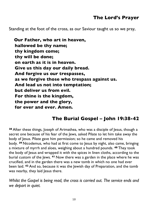# **The Lord's Prayer**

Standing at the foot of the cross, as our Saviour taught us so we pray,

**Our Father, who art in heaven, hallowed be thy name; thy kingdom come; thy will be done; on earth as it is in heaven. Give us this day our daily bread. And forgive us our trespasses, as we forgive those who trespass against us. And lead us not into temptation; but deliver us from evil. For thine is the kingdom, the power and the glory, for ever and ever. Amen.**

# **The Burial Gospel – John 19:38-42**

**<sup>38</sup>** After these things, Joseph of Arimathea, who was a disciple of Jesus, though a secret one because of his fear of the Jews, asked Pilate to let him take away the body of Jesus. Pilate gave him permission; so he came and removed his body. **<sup>39</sup>** Nicodemus, who had at first come to Jesus by night, also came, bringing a mixture of myrrh and aloes, weighing about a hundred pounds. **<sup>40</sup>** They took the body of Jesus and wrapped it with the spices in linen cloths, according to the burial custom of the Jews. **<sup>41</sup>** Now there was a garden in the place where he was crucified, and in the garden there was a new tomb in which no one had ever been laid. **<sup>42</sup>** And so, because it was the Jewish day of Preparation, and the tomb was nearby, they laid Jesus there.

*Whilst the Gospel is being read, the cross is carried out. The service ends and we depart in quiet.*